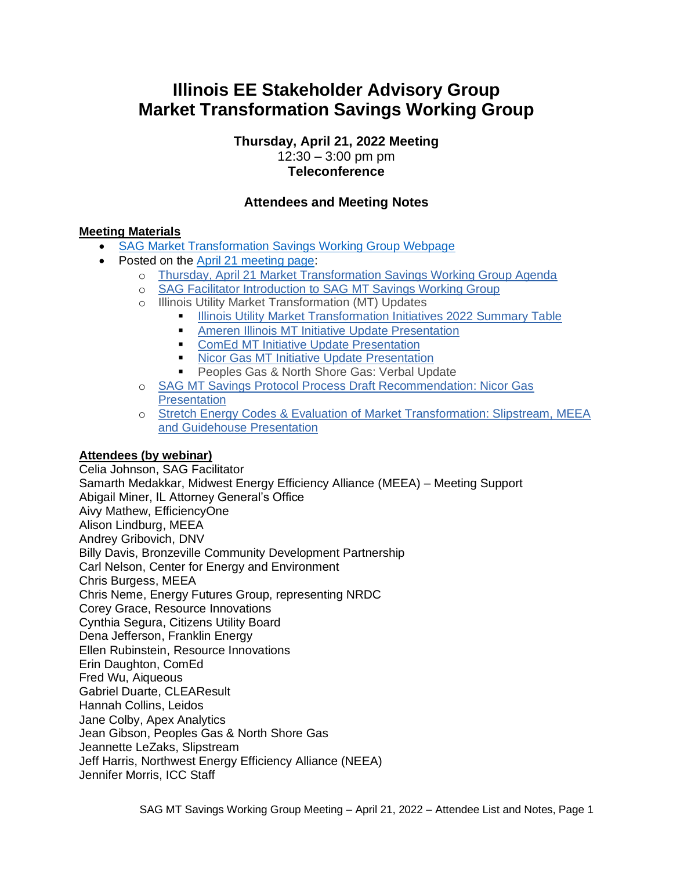# **Illinois EE Stakeholder Advisory Group Market Transformation Savings Working Group**

**Thursday, April 21, 2022 Meeting**  $12:30 - 3:00$  pm pm **Teleconference**

# **Attendees and Meeting Notes**

### **Meeting Materials**

- [SAG Market Transformation Savings Working Group Webpage](https://www.ilsag.info/mt_savings_working_group/)
- Posted on the [April 21 meeting page:](https://www.ilsag.info/event/thursday-april-21-market-transformation-savings-working-group-meeting/)
	- o [Thursday, April 21 Market Transformation Savings Working Group Agenda](https://ilsag.s3.amazonaws.com/SAG_Market-Transformation-Savings-Working-Group-Meeting_Agenda_April-21-2022_Final.pdf)
	- o [SAG Facilitator Introduction to SAG MT Savings Working Group](https://ilsag.s3.amazonaws.com/MT-Savings-Working-Group-Introduction_4-21-2022-Meeting.pdf)
	- o Illinois Utility Market Transformation (MT) Updates
		- **[Illinois Utility Market Transformation Initiatives 2022 Summary Table](https://ilsag.s3.amazonaws.com/Illinois-Utility-MT-Initiative-2022-Summary-Table_4-18-2022-1.pdf)**
		- **EXECUTE: [Ameren Illinois MT Initiative Update Presentation](https://ilsag.s3.amazonaws.com/Ameren-Illinois-SAG-MT-Savings-Working-Group-update_4.21.2022.pdf)**
		- [ComEd MT Initiative Update Presentation](https://ilsag.s3.amazonaws.com/ComEd-MT-Presentation-4.21.22.pdf)
		- **EXECT:** [Nicor Gas MT Initiative Update](https://ilsag.s3.amazonaws.com/Nicor-Gas-MTI-SAG-Update_04.21.2022.pdf) Presentation
		- Peoples Gas & North Shore Gas: Verbal Update
	- o [SAG MT Savings Protocol Process Draft Recommendation: Nicor Gas](https://ilsag.s3.amazonaws.com/IL-SAG-MT-Savings-Protocol-Nicor-Gas-Recommendation-4-21-22-SAG.pdf)  **[Presentation](https://ilsag.s3.amazonaws.com/IL-SAG-MT-Savings-Protocol-Nicor-Gas-Recommendation-4-21-22-SAG.pdf)**
	- o [Stretch Energy Codes & Evaluation of Market Transformation: Slipstream, MEEA](https://ilsag.s3.amazonaws.com/Stretch-Codes-Presentation_IL-SAG-MT_21-APR-2022.pdf)  [and Guidehouse Presentation](https://ilsag.s3.amazonaws.com/Stretch-Codes-Presentation_IL-SAG-MT_21-APR-2022.pdf)

#### **Attendees (by webinar)**

Celia Johnson, SAG Facilitator Samarth Medakkar, Midwest Energy Efficiency Alliance (MEEA) – Meeting Support Abigail Miner, IL Attorney General's Office Aivy Mathew, EfficiencyOne Alison Lindburg, MEEA Andrey Gribovich, DNV Billy Davis, Bronzeville Community Development Partnership Carl Nelson, Center for Energy and Environment Chris Burgess, MEEA Chris Neme, Energy Futures Group, representing NRDC Corey Grace, Resource Innovations Cynthia Segura, Citizens Utility Board Dena Jefferson, Franklin Energy Ellen Rubinstein, Resource Innovations Erin Daughton, ComEd Fred Wu, Aiqueous Gabriel Duarte, CLEAResult Hannah Collins, Leidos Jane Colby, Apex Analytics Jean Gibson, Peoples Gas & North Shore Gas Jeannette LeZaks, Slipstream Jeff Harris, Northwest Energy Efficiency Alliance (NEEA) Jennifer Morris, ICC Staff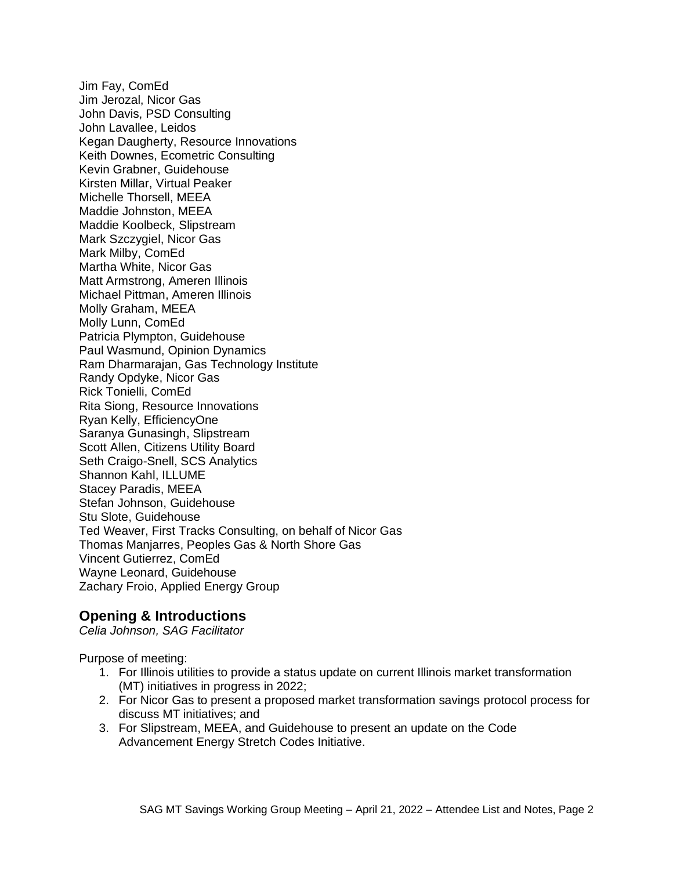Jim Fay, ComEd Jim Jerozal, Nicor Gas John Davis, PSD Consulting John Lavallee, Leidos Kegan Daugherty, Resource Innovations Keith Downes, Ecometric Consulting Kevin Grabner, Guidehouse Kirsten Millar, Virtual Peaker Michelle Thorsell, MEEA Maddie Johnston, MEEA Maddie Koolbeck, Slipstream Mark Szczygiel, Nicor Gas Mark Milby, ComEd Martha White, Nicor Gas Matt Armstrong, Ameren Illinois Michael Pittman, Ameren Illinois Molly Graham, MEEA Molly Lunn, ComEd Patricia Plympton, Guidehouse Paul Wasmund, Opinion Dynamics Ram Dharmarajan, Gas Technology Institute Randy Opdyke, Nicor Gas Rick Tonielli, ComEd Rita Siong, Resource Innovations Ryan Kelly, EfficiencyOne Saranya Gunasingh, Slipstream Scott Allen, Citizens Utility Board Seth Craigo-Snell, SCS Analytics Shannon Kahl, ILLUME Stacey Paradis, MEEA Stefan Johnson, Guidehouse Stu Slote, Guidehouse Ted Weaver, First Tracks Consulting, on behalf of Nicor Gas Thomas Manjarres, Peoples Gas & North Shore Gas Vincent Gutierrez, ComEd Wayne Leonard, Guidehouse Zachary Froio, Applied Energy Group

## **Opening & Introductions**

*Celia Johnson, SAG Facilitator*

Purpose of meeting:

- 1. For Illinois utilities to provide a status update on current Illinois market transformation (MT) initiatives in progress in 2022;
- 2. For Nicor Gas to present a proposed market transformation savings protocol process for discuss MT initiatives; and
- 3. For Slipstream, MEEA, and Guidehouse to present an update on the Code Advancement Energy Stretch Codes Initiative.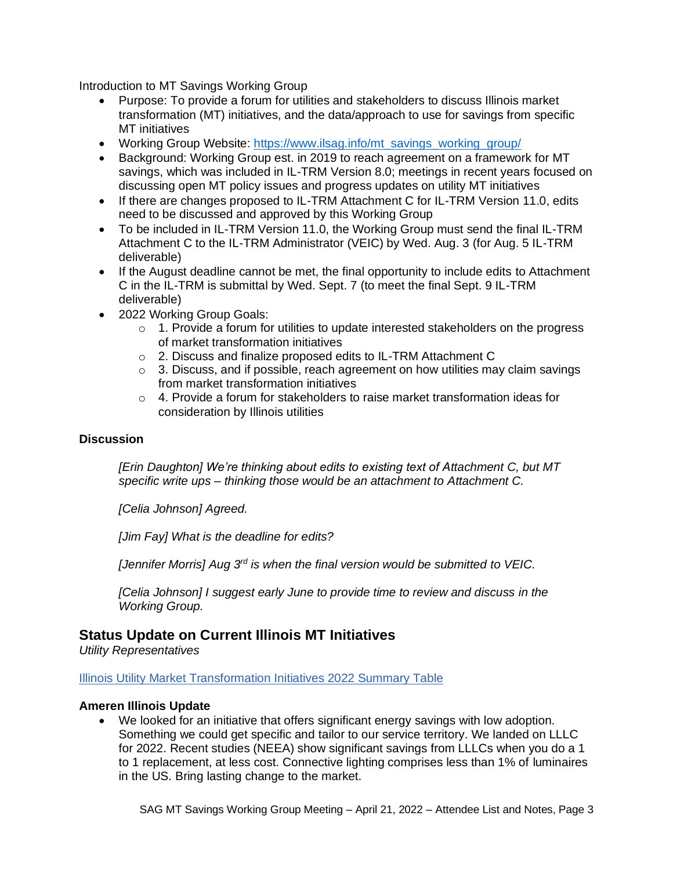Introduction to MT Savings Working Group

- Purpose: To provide a forum for utilities and stakeholders to discuss Illinois market transformation (MT) initiatives, and the data/approach to use for savings from specific MT initiatives
- Working Group Website: [https://www.ilsag.info/mt\\_savings\\_working\\_group/](https://www.ilsag.info/mt_savings_working_group/)
- Background: Working Group est. in 2019 to reach agreement on a framework for MT savings, which was included in IL-TRM Version 8.0; meetings in recent years focused on discussing open MT policy issues and progress updates on utility MT initiatives
- If there are changes proposed to IL-TRM Attachment C for IL-TRM Version 11.0, edits need to be discussed and approved by this Working Group
- To be included in IL-TRM Version 11.0, the Working Group must send the final IL-TRM Attachment C to the IL-TRM Administrator (VEIC) by Wed. Aug. 3 (for Aug. 5 IL-TRM deliverable)
- If the August deadline cannot be met, the final opportunity to include edits to Attachment C in the IL-TRM is submittal by Wed. Sept. 7 (to meet the final Sept. 9 IL-TRM deliverable)
- 2022 Working Group Goals:
	- $\circ$  1. Provide a forum for utilities to update interested stakeholders on the progress of market transformation initiatives
	- o 2. Discuss and finalize proposed edits to IL-TRM Attachment C
	- $\circ$  3. Discuss, and if possible, reach agreement on how utilities may claim savings from market transformation initiatives
	- $\circ$  4. Provide a forum for stakeholders to raise market transformation ideas for consideration by Illinois utilities

#### **Discussion**

*[Erin Daughton] We're thinking about edits to existing text of Attachment C, but MT specific write ups – thinking those would be an attachment to Attachment C.* 

*[Celia Johnson] Agreed.*

*[Jim Fay] What is the deadline for edits?*

*[Jennifer Morris] Aug 3rd is when the final version would be submitted to VEIC.* 

*[Celia Johnson] I suggest early June to provide time to review and discuss in the Working Group.* 

## **Status Update on Current Illinois MT Initiatives**

*Utility Representatives* 

[Illinois Utility Market Transformation Initiatives 2022 Summary Table](https://nam12.safelinks.protection.outlook.com/?url=https%3A%2F%2Filsag.s3.amazonaws.com%2FIllinois-Utility-MT-Initiative-2022-Summary-Table_4-18-2022-1.pdf&data=05%7C01%7Csmedakkar%40mwalliance.org%7C6d8ebfc872224a4227b308da23ab37e5%7C49f1a1df61ff488fa735778738e1a9f4%7C0%7C0%7C637861516586672225%7CUnknown%7CTWFpbGZsb3d8eyJWIjoiMC4wLjAwMDAiLCJQIjoiV2luMzIiLCJBTiI6Ik1haWwiLCJXVCI6Mn0%3D%7C0%7C%7C%7C&sdata=Qxog2tc2s1YDpqn1BpGv%2FrofuzjP6iUtP7hKxh1TsZA%3D&reserved=0)

#### **Ameren Illinois Update**

• We looked for an initiative that offers significant energy savings with low adoption. Something we could get specific and tailor to our service territory. We landed on LLLC for 2022. Recent studies (NEEA) show significant savings from LLLCs when you do a 1 to 1 replacement, at less cost. Connective lighting comprises less than 1% of luminaires in the US. Bring lasting change to the market.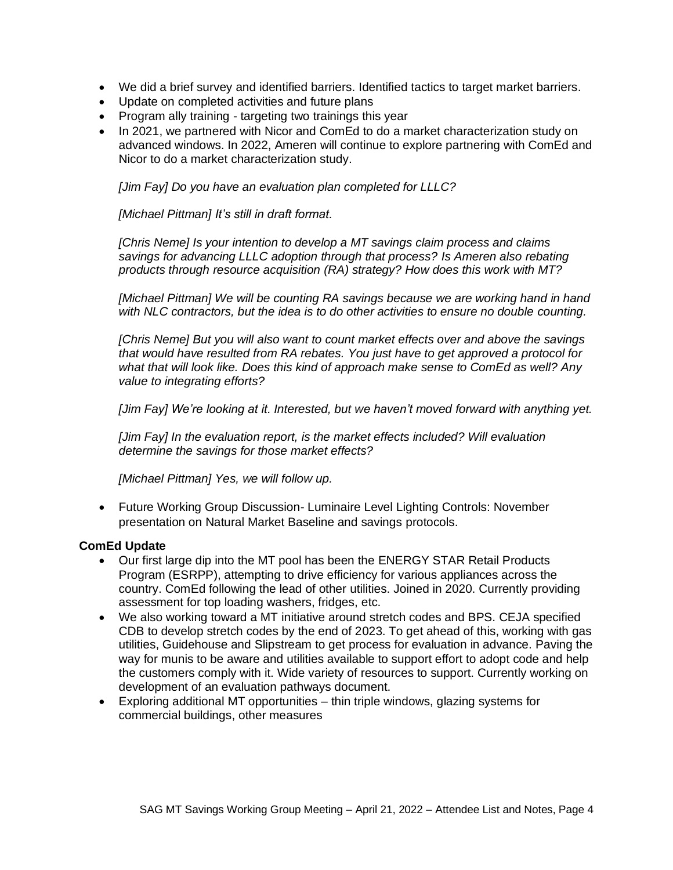- We did a brief survey and identified barriers. Identified tactics to target market barriers.
- Update on completed activities and future plans
- Program ally training targeting two trainings this year
- In 2021, we partnered with Nicor and ComEd to do a market characterization study on advanced windows. In 2022, Ameren will continue to explore partnering with ComEd and Nicor to do a market characterization study.

*[Jim Fay] Do you have an evaluation plan completed for LLLC?*

*[Michael Pittman] It's still in draft format.* 

*[Chris Neme] Is your intention to develop a MT savings claim process and claims savings for advancing LLLC adoption through that process? Is Ameren also rebating products through resource acquisition (RA) strategy? How does this work with MT?* 

*[Michael Pittman] We will be counting RA savings because we are working hand in hand with NLC contractors, but the idea is to do other activities to ensure no double counting.* 

*[Chris Neme] But you will also want to count market effects over and above the savings that would have resulted from RA rebates. You just have to get approved a protocol for what that will look like. Does this kind of approach make sense to ComEd as well? Any value to integrating efforts?*

*[Jim Fay] We're looking at it. Interested, but we haven't moved forward with anything yet.* 

[Jim Fay] In the evaluation report, is the market effects included? Will evaluation *determine the savings for those market effects?*

*[Michael Pittman] Yes, we will follow up.*

• Future Working Group Discussion- Luminaire Level Lighting Controls: November presentation on Natural Market Baseline and savings protocols.

#### **ComEd Update**

- Our first large dip into the MT pool has been the ENERGY STAR Retail Products Program (ESRPP), attempting to drive efficiency for various appliances across the country. ComEd following the lead of other utilities. Joined in 2020. Currently providing assessment for top loading washers, fridges, etc.
- We also working toward a MT initiative around stretch codes and BPS. CEJA specified CDB to develop stretch codes by the end of 2023. To get ahead of this, working with gas utilities, Guidehouse and Slipstream to get process for evaluation in advance. Paving the way for munis to be aware and utilities available to support effort to adopt code and help the customers comply with it. Wide variety of resources to support. Currently working on development of an evaluation pathways document.
- Exploring additional MT opportunities thin triple windows, glazing systems for commercial buildings, other measures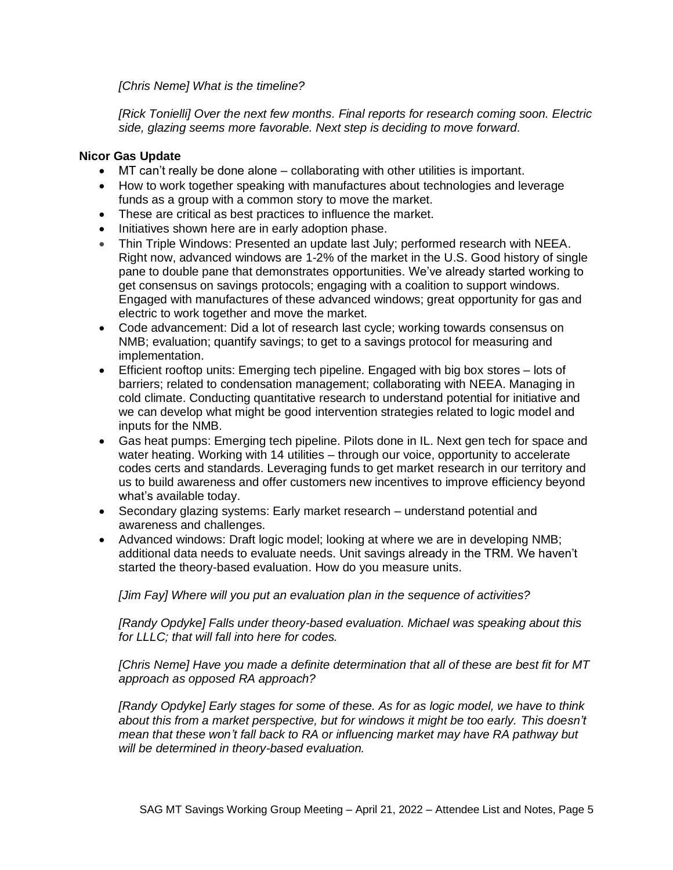*[Chris Neme] What is the timeline?*

*[Rick Tonielli] Over the next few months. Final reports for research coming soon. Electric side, glazing seems more favorable. Next step is deciding to move forward.*

#### **Nicor Gas Update**

- MT can't really be done alone collaborating with other utilities is important.
- How to work together speaking with manufactures about technologies and leverage funds as a group with a common story to move the market.
- These are critical as best practices to influence the market.
- Initiatives shown here are in early adoption phase.
- Thin Triple Windows: Presented an update last July; performed research with NEEA. Right now, advanced windows are 1-2% of the market in the U.S. Good history of single pane to double pane that demonstrates opportunities. We've already started working to get consensus on savings protocols; engaging with a coalition to support windows. Engaged with manufactures of these advanced windows; great opportunity for gas and electric to work together and move the market.
- Code advancement: Did a lot of research last cycle; working towards consensus on NMB; evaluation; quantify savings; to get to a savings protocol for measuring and implementation.
- Efficient rooftop units: Emerging tech pipeline. Engaged with big box stores lots of barriers; related to condensation management; collaborating with NEEA. Managing in cold climate. Conducting quantitative research to understand potential for initiative and we can develop what might be good intervention strategies related to logic model and inputs for the NMB.
- Gas heat pumps: Emerging tech pipeline. Pilots done in IL. Next gen tech for space and water heating. Working with 14 utilities – through our voice, opportunity to accelerate codes certs and standards. Leveraging funds to get market research in our territory and us to build awareness and offer customers new incentives to improve efficiency beyond what's available today.
- Secondary glazing systems: Early market research understand potential and awareness and challenges.
- Advanced windows: Draft logic model; looking at where we are in developing NMB; additional data needs to evaluate needs. Unit savings already in the TRM. We haven't started the theory-based evaluation. How do you measure units.

*[Jim Fay] Where will you put an evaluation plan in the sequence of activities?*

*[Randy Opdyke] Falls under theory-based evaluation. Michael was speaking about this for LLLC; that will fall into here for codes.*

*[Chris Neme] Have you made a definite determination that all of these are best fit for MT approach as opposed RA approach?*

*[Randy Opdyke] Early stages for some of these. As for as logic model, we have to think about this from a market perspective, but for windows it might be too early. This doesn't mean that these won't fall back to RA or influencing market may have RA pathway but will be determined in theory-based evaluation.*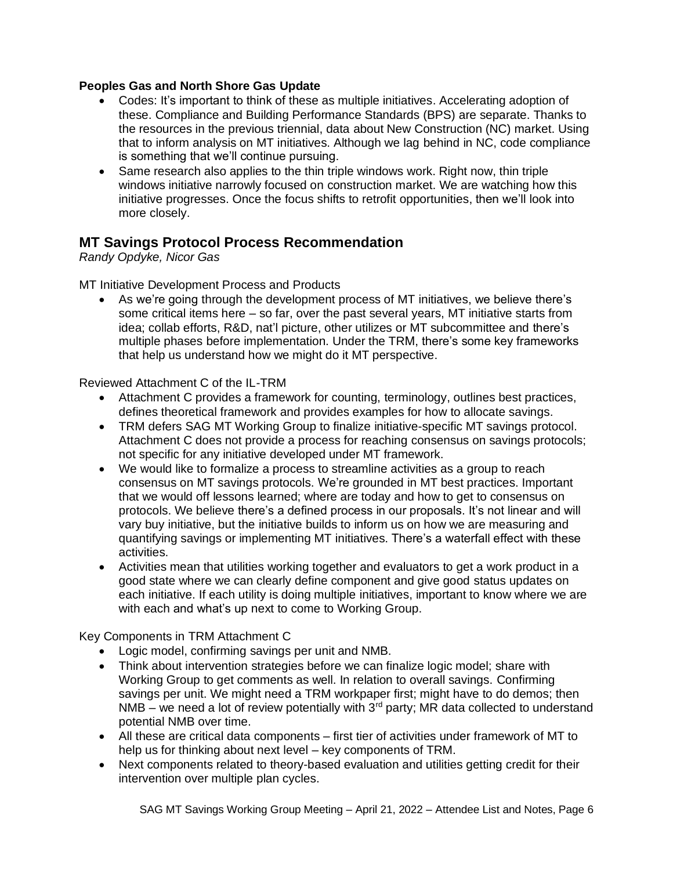#### **Peoples Gas and North Shore Gas Update**

- Codes: It's important to think of these as multiple initiatives. Accelerating adoption of these. Compliance and Building Performance Standards (BPS) are separate. Thanks to the resources in the previous triennial, data about New Construction (NC) market. Using that to inform analysis on MT initiatives. Although we lag behind in NC, code compliance is something that we'll continue pursuing.
- Same research also applies to the thin triple windows work. Right now, thin triple windows initiative narrowly focused on construction market. We are watching how this initiative progresses. Once the focus shifts to retrofit opportunities, then we'll look into more closely.

## **MT Savings Protocol Process Recommendation**

*Randy Opdyke, Nicor Gas*

MT Initiative Development Process and Products

• As we're going through the development process of MT initiatives, we believe there's some critical items here – so far, over the past several years, MT initiative starts from idea; collab efforts, R&D, nat'l picture, other utilizes or MT subcommittee and there's multiple phases before implementation. Under the TRM, there's some key frameworks that help us understand how we might do it MT perspective.

Reviewed Attachment C of the IL-TRM

- Attachment C provides a framework for counting, terminology, outlines best practices, defines theoretical framework and provides examples for how to allocate savings.
- TRM defers SAG MT Working Group to finalize initiative-specific MT savings protocol. Attachment C does not provide a process for reaching consensus on savings protocols; not specific for any initiative developed under MT framework.
- We would like to formalize a process to streamline activities as a group to reach consensus on MT savings protocols. We're grounded in MT best practices. Important that we would off lessons learned; where are today and how to get to consensus on protocols. We believe there's a defined process in our proposals. It's not linear and will vary buy initiative, but the initiative builds to inform us on how we are measuring and quantifying savings or implementing MT initiatives. There's a waterfall effect with these activities.
- Activities mean that utilities working together and evaluators to get a work product in a good state where we can clearly define component and give good status updates on each initiative. If each utility is doing multiple initiatives, important to know where we are with each and what's up next to come to Working Group.

Key Components in TRM Attachment C

- Logic model, confirming savings per unit and NMB.
- Think about intervention strategies before we can finalize logic model; share with Working Group to get comments as well. In relation to overall savings. Confirming savings per unit. We might need a TRM workpaper first; might have to do demos; then NMB – we need a lot of review potentially with  $3^{rd}$  party; MR data collected to understand potential NMB over time.
- All these are critical data components first tier of activities under framework of MT to help us for thinking about next level – key components of TRM.
- Next components related to theory-based evaluation and utilities getting credit for their intervention over multiple plan cycles.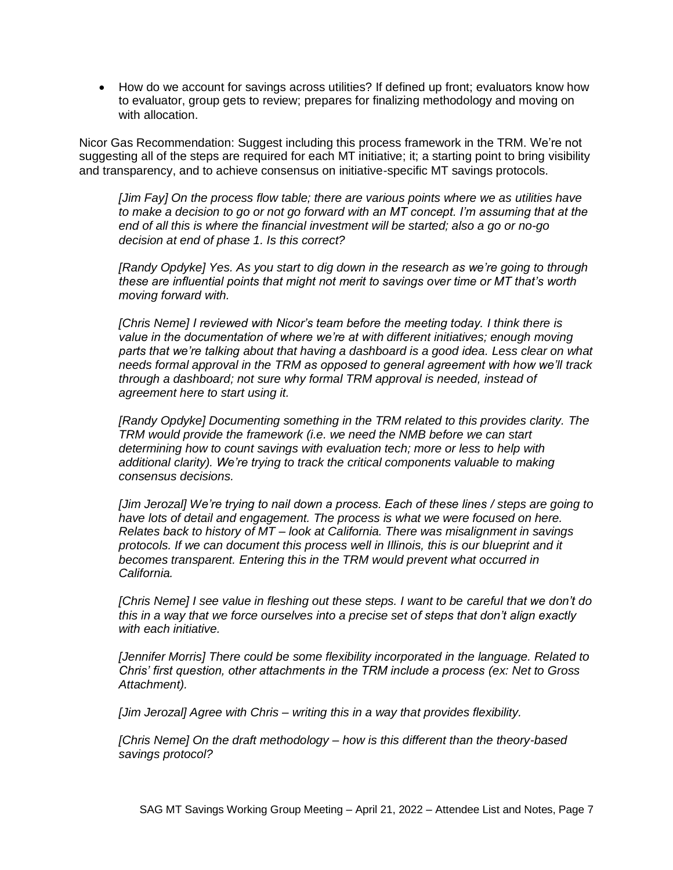• How do we account for savings across utilities? If defined up front; evaluators know how to evaluator, group gets to review; prepares for finalizing methodology and moving on with allocation.

Nicor Gas Recommendation: Suggest including this process framework in the TRM. We're not suggesting all of the steps are required for each MT initiative; it; a starting point to bring visibility and transparency, and to achieve consensus on initiative-specific MT savings protocols.

*[Jim Fay] On the process flow table; there are various points where we as utilities have to make a decision to go or not go forward with an MT concept. I'm assuming that at the end of all this is where the financial investment will be started; also a go or no-go decision at end of phase 1. Is this correct?*

*[Randy Opdyke] Yes. As you start to dig down in the research as we're going to through these are influential points that might not merit to savings over time or MT that's worth moving forward with.* 

*[Chris Neme] I reviewed with Nicor's team before the meeting today. I think there is value in the documentation of where we're at with different initiatives; enough moving parts that we're talking about that having a dashboard is a good idea. Less clear on what needs formal approval in the TRM as opposed to general agreement with how we'll track through a dashboard; not sure why formal TRM approval is needed, instead of agreement here to start using it.*

*[Randy Opdyke] Documenting something in the TRM related to this provides clarity. The TRM would provide the framework (i.e. we need the NMB before we can start determining how to count savings with evaluation tech; more or less to help with additional clarity). We're trying to track the critical components valuable to making consensus decisions.*

*[Jim Jerozal] We're trying to nail down a process. Each of these lines / steps are going to have lots of detail and engagement. The process is what we were focused on here. Relates back to history of MT – look at California. There was misalignment in savings protocols. If we can document this process well in Illinois, this is our blueprint and it becomes transparent. Entering this in the TRM would prevent what occurred in California.*

*[Chris Neme] I see value in fleshing out these steps. I want to be careful that we don't do this in a way that we force ourselves into a precise set of steps that don't align exactly with each initiative.* 

*[Jennifer Morris] There could be some flexibility incorporated in the language. Related to Chris' first question, other attachments in the TRM include a process (ex: Net to Gross Attachment).* 

*[Jim Jerozal] Agree with Chris – writing this in a way that provides flexibility.* 

*[Chris Neme] On the draft methodology – how is this different than the theory-based savings protocol?*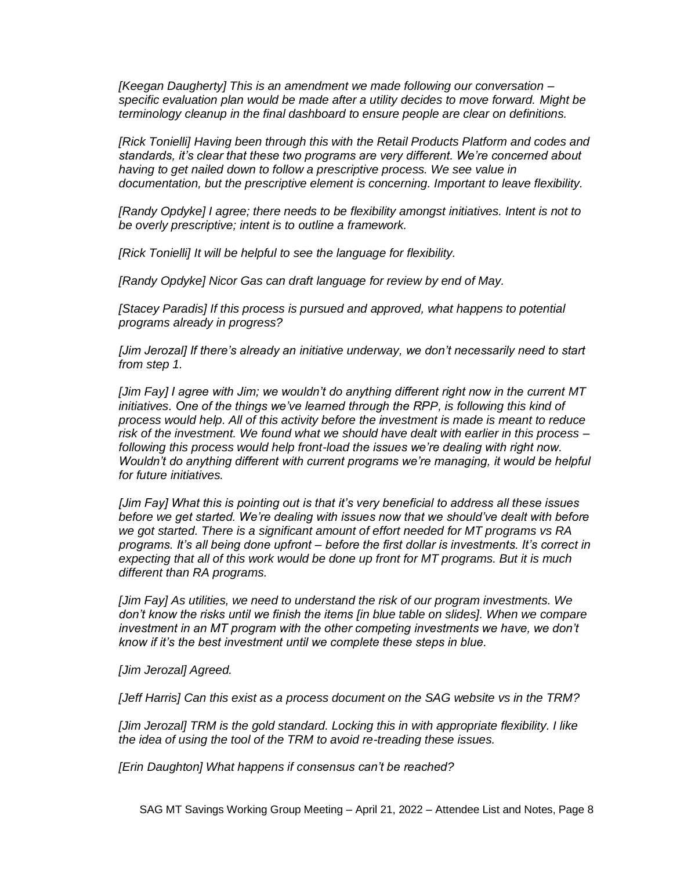*[Keegan Daugherty] This is an amendment we made following our conversation – specific evaluation plan would be made after a utility decides to move forward. Might be terminology cleanup in the final dashboard to ensure people are clear on definitions.* 

*[Rick Tonielli] Having been through this with the Retail Products Platform and codes and standards, it's clear that these two programs are very different. We're concerned about having to get nailed down to follow a prescriptive process. We see value in documentation, but the prescriptive element is concerning. Important to leave flexibility.* 

*[Randy Opdyke] I agree; there needs to be flexibility amongst initiatives. Intent is not to be overly prescriptive; intent is to outline a framework.* 

*[Rick Tonielli] It will be helpful to see the language for flexibility.* 

*[Randy Opdyke] Nicor Gas can draft language for review by end of May.*

*[Stacey Paradis] If this process is pursued and approved, what happens to potential programs already in progress?*

*[Jim Jerozal] If there's already an initiative underway, we don't necessarily need to start from step 1.* 

*[Jim Fay] I agree with Jim; we wouldn't do anything different right now in the current MT initiatives.* One of the things we've learned through the RPP, is following this kind of *process would help. All of this activity before the investment is made is meant to reduce risk of the investment. We found what we should have dealt with earlier in this process – following this process would help front-load the issues we're dealing with right now. Wouldn't do anything different with current programs we're managing, it would be helpful for future initiatives.* 

*[Jim Fay] What this is pointing out is that it's very beneficial to address all these issues before we get started. We're dealing with issues now that we should've dealt with before we got started. There is a significant amount of effort needed for MT programs vs RA programs. It's all being done upfront – before the first dollar is investments. It's correct in expecting that all of this work would be done up front for MT programs. But it is much different than RA programs.*

*[Jim Fay] As utilities, we need to understand the risk of our program investments. We don't know the risks until we finish the items [in blue table on slides]. When we compare investment in an MT program with the other competing investments we have, we don't know if it's the best investment until we complete these steps in blue.* 

*[Jim Jerozal] Agreed.* 

*[Jeff Harris] Can this exist as a process document on the SAG website vs in the TRM?*

*[Jim Jerozal] TRM is the gold standard. Locking this in with appropriate flexibility. I like the idea of using the tool of the TRM to avoid re-treading these issues.* 

*[Erin Daughton] What happens if consensus can't be reached?*

SAG MT Savings Working Group Meeting – April 21, 2022 – Attendee List and Notes, Page 8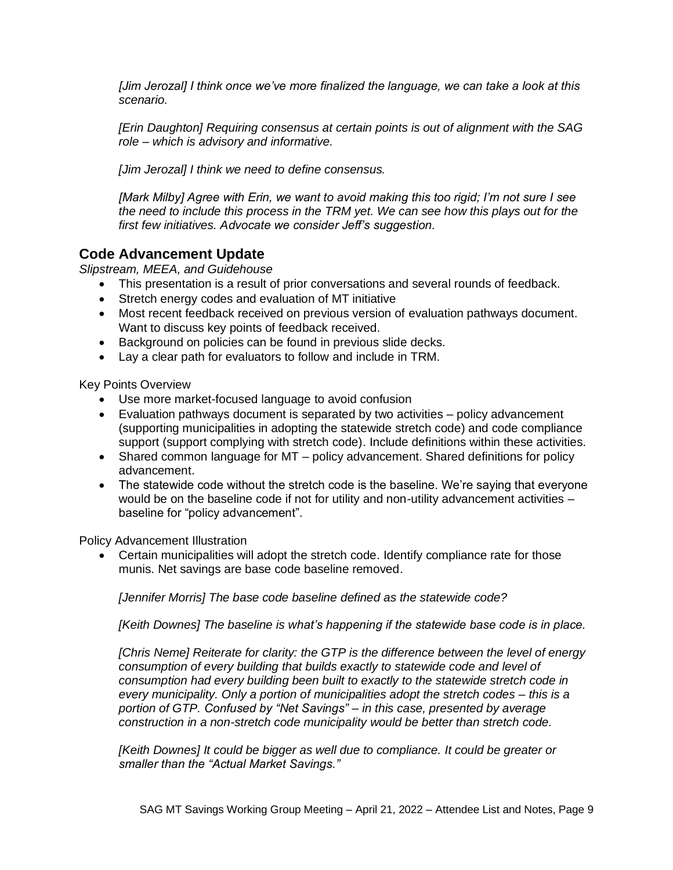*[Jim Jerozal] I think once we've more finalized the language, we can take a look at this scenario.* 

*[Erin Daughton] Requiring consensus at certain points is out of alignment with the SAG role – which is advisory and informative.* 

*[Jim Jerozal] I think we need to define consensus.*

*[Mark Milby] Agree with Erin, we want to avoid making this too rigid; I'm not sure I see the need to include this process in the TRM yet. We can see how this plays out for the first few initiatives. Advocate we consider Jeff's suggestion.* 

## **Code Advancement Update**

*Slipstream, MEEA, and Guidehouse*

- This presentation is a result of prior conversations and several rounds of feedback.
- Stretch energy codes and evaluation of MT initiative
- Most recent feedback received on previous version of evaluation pathways document. Want to discuss key points of feedback received.
- Background on policies can be found in previous slide decks.
- Lay a clear path for evaluators to follow and include in TRM.

Key Points Overview

- Use more market-focused language to avoid confusion
- Evaluation pathways document is separated by two activities policy advancement (supporting municipalities in adopting the statewide stretch code) and code compliance support (support complying with stretch code). Include definitions within these activities.
- Shared common language for MT policy advancement. Shared definitions for policy advancement.
- The statewide code without the stretch code is the baseline. We're saying that everyone would be on the baseline code if not for utility and non-utility advancement activities – baseline for "policy advancement".

Policy Advancement Illustration

• Certain municipalities will adopt the stretch code. Identify compliance rate for those munis. Net savings are base code baseline removed.

*[Jennifer Morris] The base code baseline defined as the statewide code?*

*[Keith Downes] The baseline is what's happening if the statewide base code is in place.* 

*[Chris Neme] Reiterate for clarity: the GTP is the difference between the level of energy consumption of every building that builds exactly to statewide code and level of consumption had every building been built to exactly to the statewide stretch code in every municipality. Only a portion of municipalities adopt the stretch codes – this is a portion of GTP. Confused by "Net Savings" – in this case, presented by average construction in a non-stretch code municipality would be better than stretch code.* 

*[Keith Downes] It could be bigger as well due to compliance. It could be greater or smaller than the "Actual Market Savings."*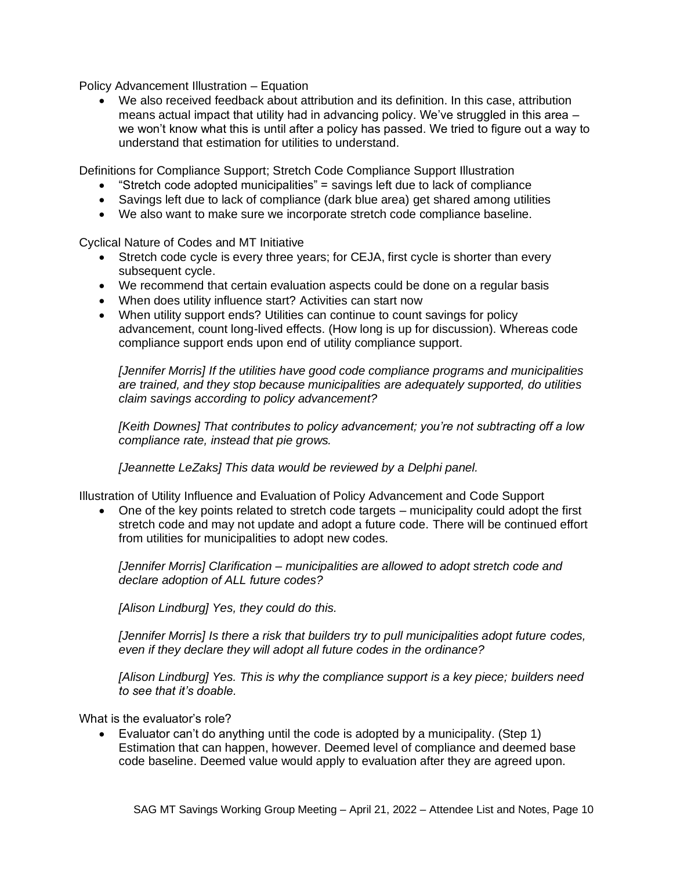Policy Advancement Illustration – Equation

• We also received feedback about attribution and its definition. In this case, attribution means actual impact that utility had in advancing policy. We've struggled in this area – we won't know what this is until after a policy has passed. We tried to figure out a way to understand that estimation for utilities to understand.

Definitions for Compliance Support; Stretch Code Compliance Support Illustration

- "Stretch code adopted municipalities" = savings left due to lack of compliance
- Savings left due to lack of compliance (dark blue area) get shared among utilities
- We also want to make sure we incorporate stretch code compliance baseline.

Cyclical Nature of Codes and MT Initiative

- Stretch code cycle is every three years; for CEJA, first cycle is shorter than every subsequent cycle.
- We recommend that certain evaluation aspects could be done on a regular basis
- When does utility influence start? Activities can start now
- When utility support ends? Utilities can continue to count savings for policy advancement, count long-lived effects. (How long is up for discussion). Whereas code compliance support ends upon end of utility compliance support.

*[Jennifer Morris] If the utilities have good code compliance programs and municipalities are trained, and they stop because municipalities are adequately supported, do utilities claim savings according to policy advancement?*

*[Keith Downes] That contributes to policy advancement; you're not subtracting off a low compliance rate, instead that pie grows.* 

[Jeannette LeZaks] This data would be reviewed by a Delphi panel.

Illustration of Utility Influence and Evaluation of Policy Advancement and Code Support

• One of the key points related to stretch code targets – municipality could adopt the first stretch code and may not update and adopt a future code. There will be continued effort from utilities for municipalities to adopt new codes.

*[Jennifer Morris] Clarification – municipalities are allowed to adopt stretch code and declare adoption of ALL future codes?*

*[Alison Lindburg] Yes, they could do this.*

*[Jennifer Morris] Is there a risk that builders try to pull municipalities adopt future codes, even if they declare they will adopt all future codes in the ordinance?*

*[Alison Lindburg] Yes. This is why the compliance support is a key piece; builders need to see that it's doable.* 

What is the evaluator's role?

• Evaluator can't do anything until the code is adopted by a municipality. (Step 1) Estimation that can happen, however. Deemed level of compliance and deemed base code baseline. Deemed value would apply to evaluation after they are agreed upon.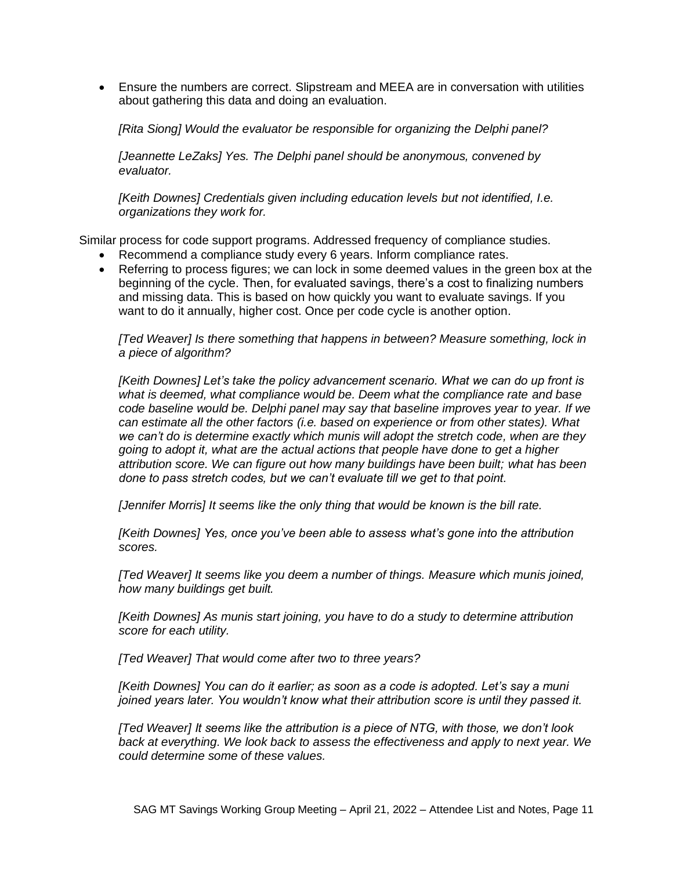• Ensure the numbers are correct. Slipstream and MEEA are in conversation with utilities about gathering this data and doing an evaluation.

*[Rita Siong] Would the evaluator be responsible for organizing the Delphi panel?*

*[Jeannette LeZaks] Yes. The Delphi panel should be anonymous, convened by evaluator.* 

*[Keith Downes] Credentials given including education levels but not identified, I.e. organizations they work for.* 

Similar process for code support programs. Addressed frequency of compliance studies.

- Recommend a compliance study every 6 years. Inform compliance rates.
- Referring to process figures; we can lock in some deemed values in the green box at the beginning of the cycle. Then, for evaluated savings, there's a cost to finalizing numbers and missing data. This is based on how quickly you want to evaluate savings. If you want to do it annually, higher cost. Once per code cycle is another option.

*[Ted Weaver] Is there something that happens in between? Measure something, lock in a piece of algorithm?*

*[Keith Downes] Let's take the policy advancement scenario. What we can do up front is what is deemed, what compliance would be. Deem what the compliance rate and base code baseline would be. Delphi panel may say that baseline improves year to year. If we can estimate all the other factors (i.e. based on experience or from other states). What we can't do is determine exactly which munis will adopt the stretch code, when are they going to adopt it, what are the actual actions that people have done to get a higher attribution score. We can figure out how many buildings have been built; what has been done to pass stretch codes, but we can't evaluate till we get to that point.* 

*[Jennifer Morris] It seems like the only thing that would be known is the bill rate.* 

*[Keith Downes] Yes, once you've been able to assess what's gone into the attribution scores.* 

*[Ted Weaver] It seems like you deem a number of things. Measure which munis joined, how many buildings get built.* 

*[Keith Downes] As munis start joining, you have to do a study to determine attribution score for each utility.* 

*[Ted Weaver] That would come after two to three years?*

*[Keith Downes] You can do it earlier; as soon as a code is adopted. Let's say a muni joined years later. You wouldn't know what their attribution score is until they passed it.* 

*[Ted Weaver] It seems like the attribution is a piece of NTG, with those, we don't look back at everything. We look back to assess the effectiveness and apply to next year. We could determine some of these values.*